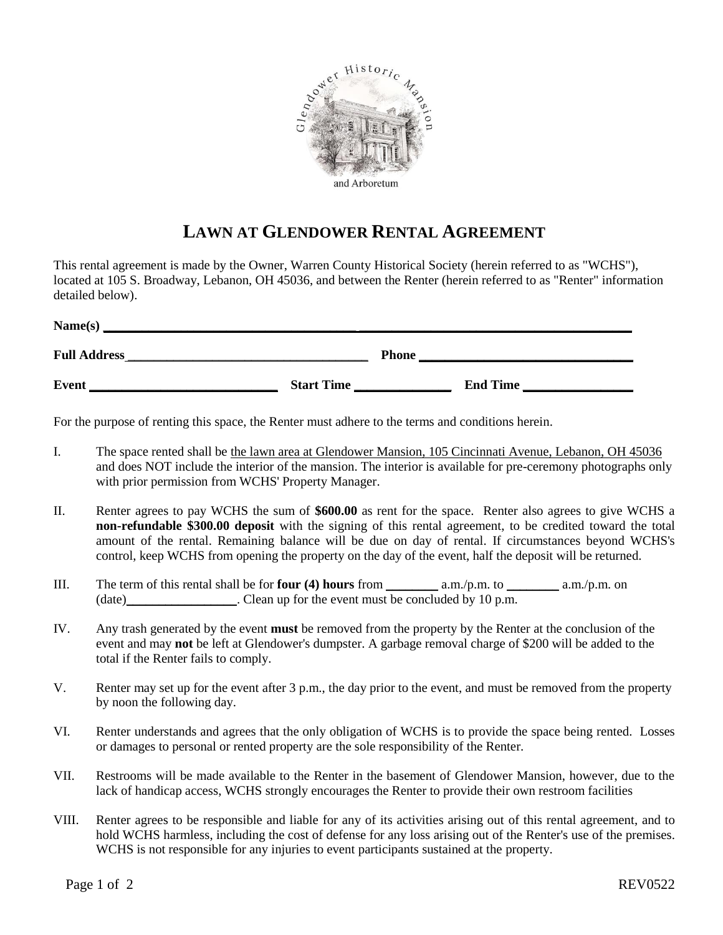

## **LAWN AT GLENDOWER RENTAL AGREEMENT**

This rental agreement is made by the Owner, Warren County Historical Society (herein referred to as "WCHS"), located at 105 S. Broadway, Lebanon, OH 45036, and between the Renter (herein referred to as "Renter" information detailed below).

| Name(s)             |                   |              |                 |
|---------------------|-------------------|--------------|-----------------|
| <b>Full Address</b> |                   | <b>Phone</b> |                 |
| <b>Event</b>        | <b>Start Time</b> |              | <b>End Time</b> |

For the purpose of renting this space, the Renter must adhere to the terms and conditions herein.

- I. The space rented shall be the lawn area at Glendower Mansion, 105 Cincinnati Avenue, Lebanon, OH 45036 and does NOT include the interior of the mansion. The interior is available for pre-ceremony photographs only with prior permission from WCHS' Property Manager.
- II. Renter agrees to pay WCHS the sum of **\$600.00** as rent for the space. Renter also agrees to give WCHS a **non-refundable \$300.00 deposit** with the signing of this rental agreement, to be credited toward the total amount of the rental. Remaining balance will be due on day of rental. If circumstances beyond WCHS's control, keep WCHS from opening the property on the day of the event, half the deposit will be returned.
- III. The term of this rental shall be for **four (4) hours** from \_\_\_\_\_\_\_\_ a.m./p.m. to \_\_\_\_\_\_\_\_ a.m./p.m. on (date) Clean up for the event must be concluded by 10 p.m.
- IV. Any trash generated by the event **must** be removed from the property by the Renter at the conclusion of the event and may **not** be left at Glendower's dumpster. A garbage removal charge of \$200 will be added to the total if the Renter fails to comply.
- V. Renter may set up for the event after 3 p.m., the day prior to the event, and must be removed from the property by noon the following day.
- VI. Renter understands and agrees that the only obligation of WCHS is to provide the space being rented. Losses or damages to personal or rented property are the sole responsibility of the Renter.
- VII. Restrooms will be made available to the Renter in the basement of Glendower Mansion, however, due to the lack of handicap access, WCHS strongly encourages the Renter to provide their own restroom facilities
- VIII. Renter agrees to be responsible and liable for any of its activities arising out of this rental agreement, and to hold WCHS harmless, including the cost of defense for any loss arising out of the Renter's use of the premises. WCHS is not responsible for any injuries to event participants sustained at the property.